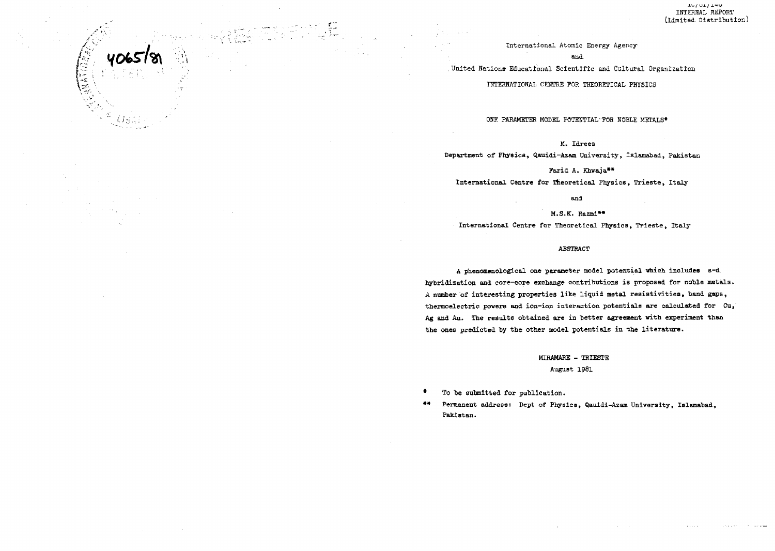## International Atomic Energy Agency and.

. United Nations Educational Scientific and Cultural Organization

INTERNATIONAL CENTRE FOR THEORETICAL PHYSICS

ONE PARAMETER MODEL POTENTIAL'FOR NOBLE METALS\*

M. Idrees

Department of Physics, Qauidi-Azam University, Islamabad, Pakistan

### Farid A. Khwaja<sup>\*\*</sup>

International Centre for Theoretical Physics, Trieste, Italy

#### and

M.S.K. Razmi\*\*

International Centre for Theoretical Physics, Trieste, Italy

#### ABSTRACT

A phenomenological one parameter model potential which includes s-d hybridization and core-core exchange contributions is proposed far noble metals. A number of interesting properties like liquid metal resistivities, band gaps, thermoelectric povers and ion-ion interaction potentials are calculated for Cu, Ag and Au. The results obtained are in better agreement with experiment than the ones predicted by the other model potentials in the literature.

> MIRAMARE - TRIESTE August 198l

To be submitted for publication.

\*\* Permanent address: Dept of Physics, Qauidi-Azam University, Islamabad, Pakistan.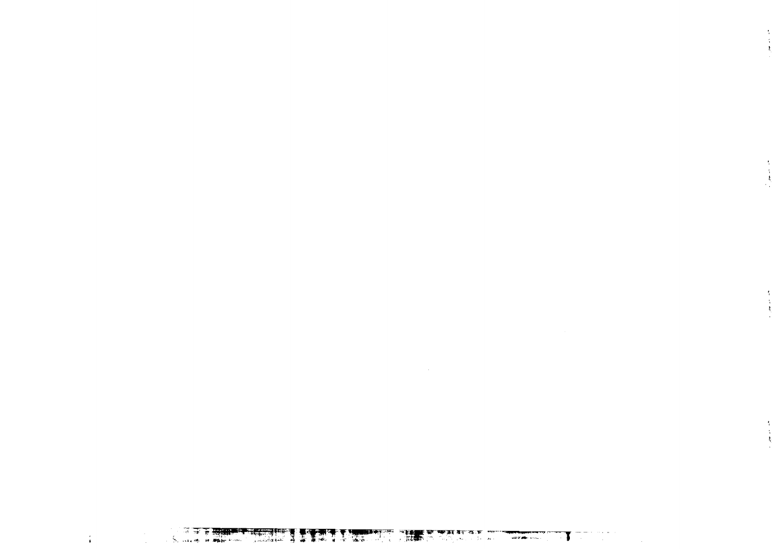$\sim 100$ 

 $\mathbb{C}$ 

the contract of the contract of the con-

 $\Lambda$  $\frac{d}{2}$  .  $\mathbf{R}^{\top}$ 

 $\Lambda$ 

> $\Lambda$  $\mathcal{R}^{\pm}$  $\Lambda$

> $\Lambda$  $\frac{1}{3}$  .  $\mathbf{L}$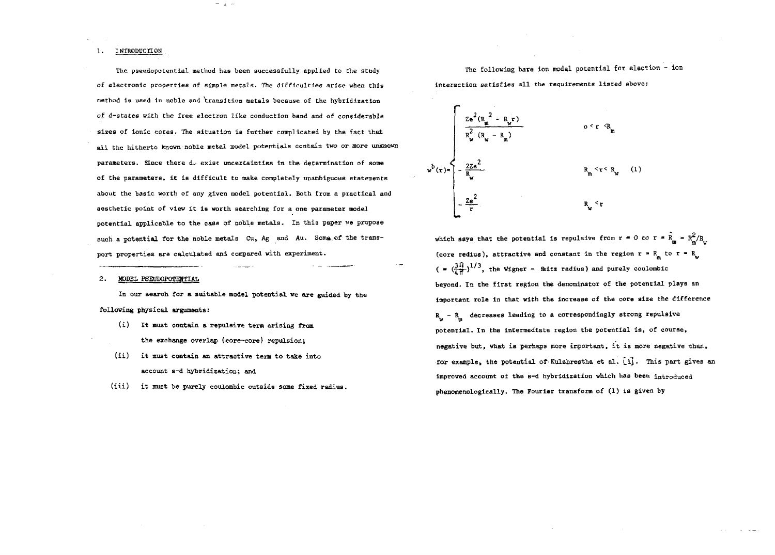#### 1. INTRODUCTION

The paeudopotential method has been successfully applied to the study of electronic properties of simple metals. The difficulties arise when this method is used in noble and transition metals because of the hybridization of d-states with the free electron like conduction band and of considerable sizes of ionic cores. The situation is further complicated by the fact that all the hitherto known noble metal model potentials contain tvo or more unknown parameters. Since there de exist uncertainties in the determination of some of the parameters, it is difficult to make completely unambiguous statements about the basic worth of any given model potential. Both from a practical and aesthetic point of view it la uorth searching for a one parameter model potential applicable to the case of noble metals. In this paper we propose such a potential for the noble metals Cu, Ag and Au. Some. of the transport properties are calculated and compared with experiment.

 $\equiv -\pm \pm \pm \pm$ 

#### 2. MODEL PSEUDOPOTEHTIAL

In our search for a suitable model potential ve are guided by the following physical arguments:

- (i) It must contain a repulsive tern arising from the exchange overlap (core-core) repulsion;
- (ii) it must contain an attractive term to take into account s-d hybridization; and
- (iii) it must be purely coulombic outside some fixed radius.

The following bare ion model potential for election - ion interaction satisfies all the requirements listed above:



which says that the potential is repulsive from  $r = 0$  to  $r = R^2/m$  =  $R^2/M$ (core redius), attractive and constant in the region  $r = R_{\rm m}$  to  $r = R_{\rm w}$ ( =  $\left(\frac{3\Omega}{4\pi}\right)^{1/3}$ , the Wigner - Seitz radius) and purely coulombic beyond. In the first region the denominator of the potential plays an important role in that with the increase of the core size the difference R - R decreases leading to a correspondingly strong repulsive w m potential. In the intermediate region the potential is, of course, negative but, what is perhaps more important, it is more negative than, for example, the potential of Kulshrestha et al.  $[1]$ . This part gives an improved account of the s-d hybridization which has been introduced phenomenologically. The Fourier transform of (1) ia given by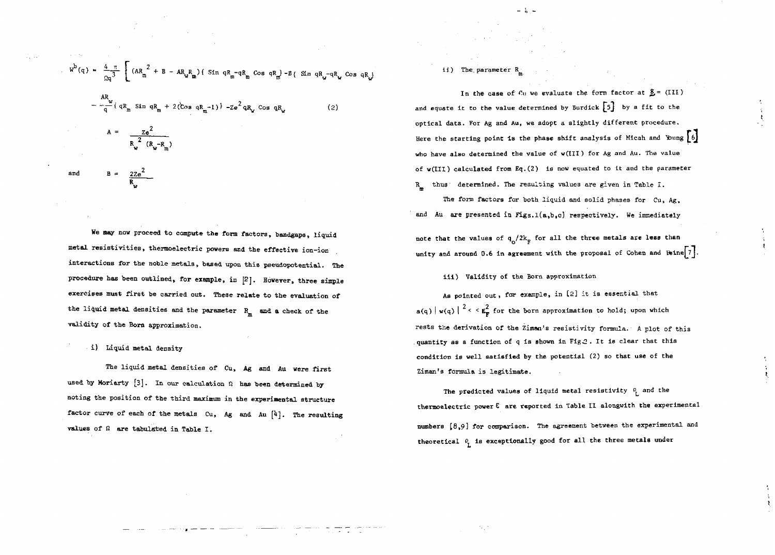$$
w^{b}(q) = \frac{4 \pi}{\Omega q^{3}} \left[ (AR_{m}^{2} + B - AR_{w}R_{m}) \{ \sin qR_{m} - qR_{m} \cos qR_{m}^{1} - B \{ \sin qR_{w} - qR_{w} \cos qR_{w} \} - \frac{AR_{w}}{q} \{ qR_{m} \sin qR_{m} + 2(\cos qR_{m} - 1) \} - Ze^{2} qR_{w} \cos qR_{w} \right]
$$
 (2)  

$$
A = \frac{Ze^{2}}{R_{w}^{2} (R_{w} - R_{m})}
$$
  
and 
$$
B = \frac{2Ze^{2}}{R_{w}^{2}}
$$

We may now proceed to compute the form factors, bandgaps, liquid metal resistivities, thermoelectric powers and the effective ion-ion interactions for the noble metals, based upon this pseudopotential. The procedure has been outlined, for example, in [2]. However, three simple exercises must first be carried out. These relate to the evaluation of the liquid metal densities and the parameter  $R_m$  and a check of the m validity of the Born approximation.

#### i) Liquid metal density

The liquid metal densities of Cu, Ag and Au were first used by Moriarty [3]. In our calculation *a* has been determined by noting the position of the third maximum in the experimental structure factor curve of each of the metals Cu, Ag and Au *[k].* The resulting values of  $\Omega$  are tabulated in Table I.

ii) The parameter R ...

In the case of  $Cu$  we evaluate the form factor at  $\S$  = (III) and equate it to the value determined by Burdick  $\begin{bmatrix} 5 \end{bmatrix}$  by a fit to the optical data. For Ag and Au, we adopt a slightly different procedure. Here the starting point is the phase shift analysis of Micah and Young  $[6]$ who have also determined the value of w(III) for Ag and Au. The value of w(III) calculated from Eq.(2) is now equated to it and the parameter R thus' determined. The resulting values are given in Table I.

The form factors for both liquid and solid phases for Cu, Ag, and Au are presented in Figs.  $l(a,b,c)$  respectively. We immediately

note that the values of  $q_0/2k_p$  for all the three metals are less than unity and around 0.6 in agreement with the proposal of Cohen and Isine $\lceil 7 \rceil$ .

#### iii) Validity of the Born approximation

 $-1$ 

As pointed out, for example, in [2] it is essential that  $a(q) | w(q) |^2 \leq E_{\overline{R}}^2$  for the born approximation to hold; upon which rests the derivation of the Ziman's resistivity formula. A plot of this quantity as a function of q is shown in Fig.2 . It ie clear that this condition is well satisfied by the potential (2) so that use of the Ziman's formula is legitimate.

The predicted values of liquid metal resistivity  $P_L$  and the thermoelectric power E are reported in Table II alongwith the experimental numbers [8,9] for comparison. The agreement between the experimental and theoretical  $P<sub>L</sub>$  is exceptionally good for all the three metals under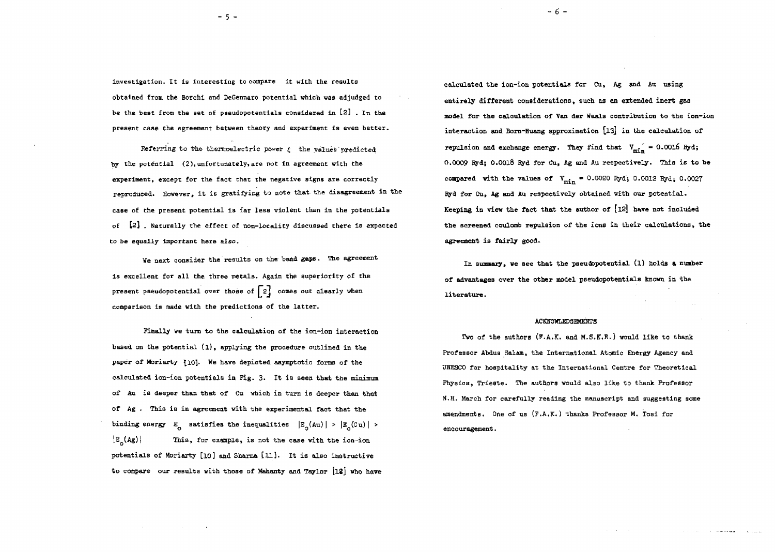investigation. It Is interesting to compare it with the results obtained from the Borchi and DeGennaro potential which was adjudged to be the best from the set of pseudopotentials considered in  $[2]$ . In the present case the agreement between theory and experiment is even better.

**- 5 -**

Referring to the thermoelectric power  $r$  the values predicted by the potential (2), unfortunately,are not in agreement with the experiment, except for the fact that the negative signs are correctly reproduced. However, it is gratifying to note that the disagreement in the case of the present potential is far less violent than in the potentials of [2] . Naturally the effect of non-locality discussed there Is expected to be equally important here also.

We next consider the results on the band gaps. The agreement is excellent for all the three metals. Again the superiority of the present pseudopotential over those of  $\begin{bmatrix} 2 \end{bmatrix}$  comes out clearly when comparison is made with the predictions of the latter.

Finally ve turn to the calculation of the ion-ion interaction based on the potential (l), applying the procedure outlined in the paper of Moriarty 110]. We have depicted asymptotic forms of the calculated ion-ion potentials in Pig. 3. It is seen that the minimum of Au. is deeper than that of Co which in turn is deeper than that of Ag . This is in agreement vith the experimental fact that the binding energy E<sub>o</sub> satisfies the inequalities  $|E_0(Au)| > |E_0(Cu)| >$  $|E_{\alpha}(Ag)|$  This, for example, is not the case with the ion-ion potentials of Moriarty [10] and Sharma [11]. It is also instructive to compare our results with those of Mahanty and Taylor [12] who have calculated the ion-ion potentials for Cu, Ag and Au using entirely different considerations, such as an extended inert gas model for the calculation of Van der Waals contribution to the ion-ion interaction and Born-Huang approximation [13] in the calculation of repulsion and exchange energy. They find that  $V_{\min} = 0.0016$  Ryd; 0.0009 Ryd; 0.0018 Ryd for Cu, Ag and Au respectively. This is to be compared with the values of  $V_{min} = 0.0020$  Ryd; 0.0012 Ryd; 0.0027 Ryd for Cu, Ag and Au respectively obtained with our potential. Keeping in view the fact that the author of  $[12]$  have not included the screened coulomb repulsion of the ions in their calculations, the agreement is fairly good.

**- 6 -**

In summary, we see that the pseudopotential  $(1)$  holds a number of advantages over the other model pseudopotentials known in the literature.

#### ACKNOWLEDGEMENTS

Two of the authors  $(F.A.K.$  and  $M.S.K.R.$ ) would like to thank Professor Abdus Salam, the International Atomic Energy Agency and UNESCO for hospitality at the International Centre for Theoretical Physics, Trieste. The authors would also like to thank Professor S.H. March for carefully reading the manuscript and suggesting some amendments. One of us (F.A.K.) thanks Professor M. Tosi for encouragement.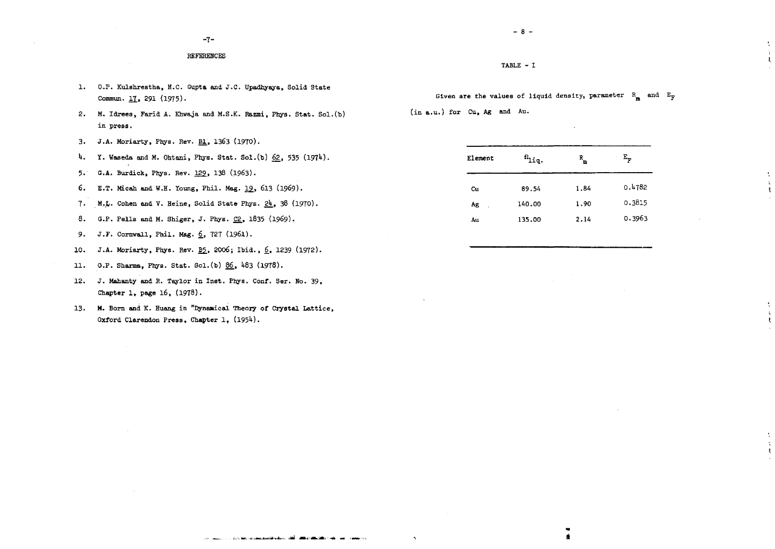#### REFERENCES

- 1. O.P. Kulshrestha, K.C. Gupta and J.C. Upadhyaya, Solid State Commun. 17, 291 (1975).
- 2. M. Idreea, Farid A. Khwaja and M.S.K. Razmi, Fhys. Stat. Sol.(b) in press.
- 3. J.A. Moriarty, Phya. Rev. Bl, 1363 (19TO).
- 4. Y. Waseda and M. Ohtani, Phys. Stat. Sol.(b) 62, 535 (1974).
- 5. G.A. Burdick, Phys. Rev. 129, 136 (1963).
- 6. E.T. Micah and W.H. Young, Phil. Mag. 19, 613 (1969).
- 7. M.L. Cohen and V. Heine, Solid State Phys. 24, 38 (1970).
- 8. G.P. Pells and M. Shiger, J. Phys.  $C2$ , 1835 (1969).
- 9. J.F. Cornwall, Phil. Mag. 6, 727 (1961).
- 10. J.A. Moriarty, Phys. Rev. **B**<sub>2</sub>, 2006; Ibid., 6, 1239 (1972).
- 11. O.P. Sharma, Phys. Stat. Sol.(b) 86, 483 (1978).
- 12. J. Mahanty and R. Taylor in Inst. Phys. Conf. Ser. No. 39, Chapter 1, page 16, (1978).
- 13. H. Born and K. Huang in "Dynamical Theory of Crystal Lattice, Oxford Clarendon Press, Chapter 1, (1954).

Given are the values of liquid density, parameter  $R_{\overline{m}}$  and (in a.u.) for Cu, Ag and Au.

| Element | $a_{1iq}$ . | $R_{\rm m}$ | $_{\rm E_{T}}$ |
|---------|-------------|-------------|----------------|
| Сu      | 89.54       | 1.84        | 0.4782         |
| Αg      | 140.00      | 1.90        | 0.3815         |
| Аu      | 135.00      | 2.14        | 0.3963         |

TABLE - I

**- 8 -**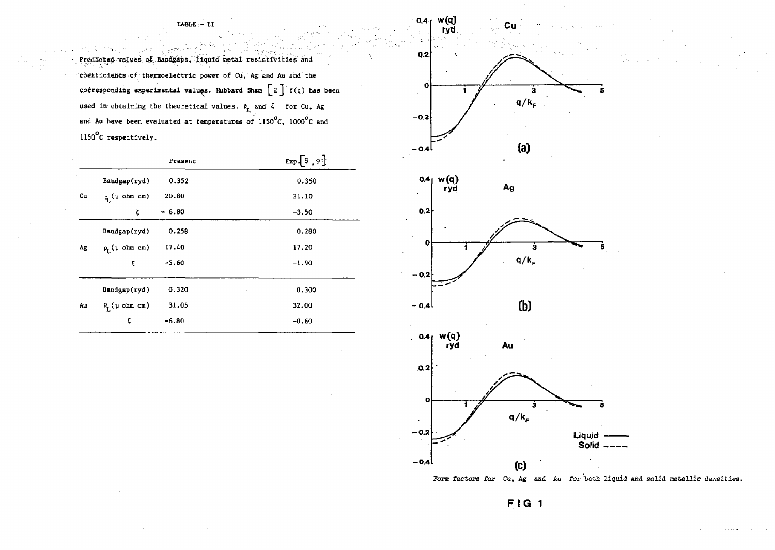#### $TABLE - II$

Predicted values of Bandgaps, liquid metal resistivities and poefficients of thermoelectric power of Cu, Ag and Au and the corresponding experimental values. Hubbard Sham  $\begin{bmatrix} 2 \end{bmatrix}$  f(q) has been used in obtaining the theoretical values.  $P_L$  and  $\zeta$  for Cu, Ag and Au have been evaluated at temperatures of  $1150^{\circ}$ C,  $1000^{\circ}$ C and 1150°C respectively.

|    |                                     | Present | Exp. $\begin{bmatrix} 8 \\ 9 \end{bmatrix}$ |
|----|-------------------------------------|---------|---------------------------------------------|
|    | Bandgap(ryd)                        | 0.352   | 0.350                                       |
| Cu | $\rho_L(\mu)$ ohm cm)               | 20.80   | 21.10                                       |
|    | ξ                                   | $-6.80$ | $-3.50$                                     |
|    | Bandgap(ryd)                        | 0.258   | 0.280                                       |
| Ag | $\rho_{\uparrow}$ ( $\upmu$ ohm cm) | 17.40   | 17.20                                       |
|    | ξ                                   | $-5.60$ | $-1.90$                                     |
|    | Bandgap(ryd)                        | 0.320   | 0.300                                       |
| Au | $P_{T}(\mu)$ ohm cm)                | 31.05   | 32.00                                       |
|    | Ę                                   | $-6.80$ | $-0.60$                                     |
|    |                                     |         |                                             |

**0.4 w(q) Cu ryd** gal.<br>Co  $0.2$  $\mathbf{o}$  $\dot{3}$  $\lambda$  $q/k_{\rm F}$  $-0.2$ **(a)** -0. 4 **0.4 W(q) Ag ryd 0.2** n 3  $q/k_F$ **-0.2 (b) -0.4 0.4 w(q) Au ryd O.2** C  $\overline{\mathbf{3}}$  $q/k_F$ **-0.2 Liquid Solid**  $-0.4$ **(c)** Form factors for Cu, Ag and Au for both liquid and solid metallic densities.

**F IG 1**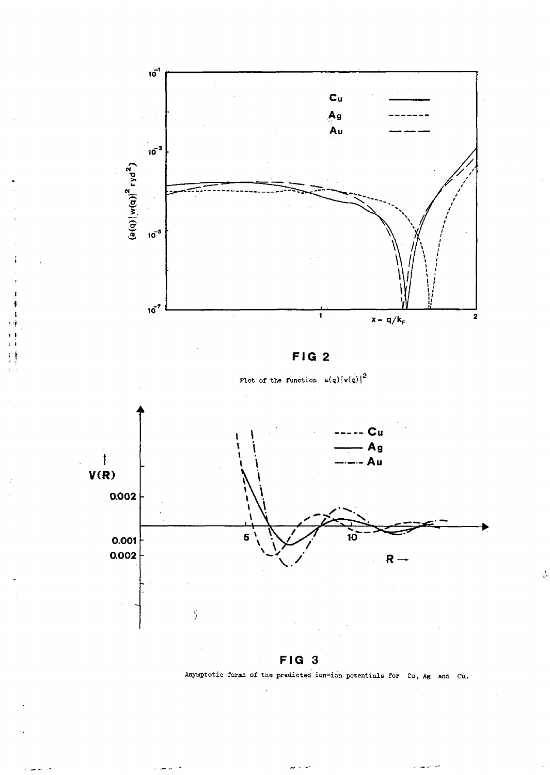







# $FIG3$

Asymptotic forms of the predicted ion-ion potentials for Cu, Ag and Cu.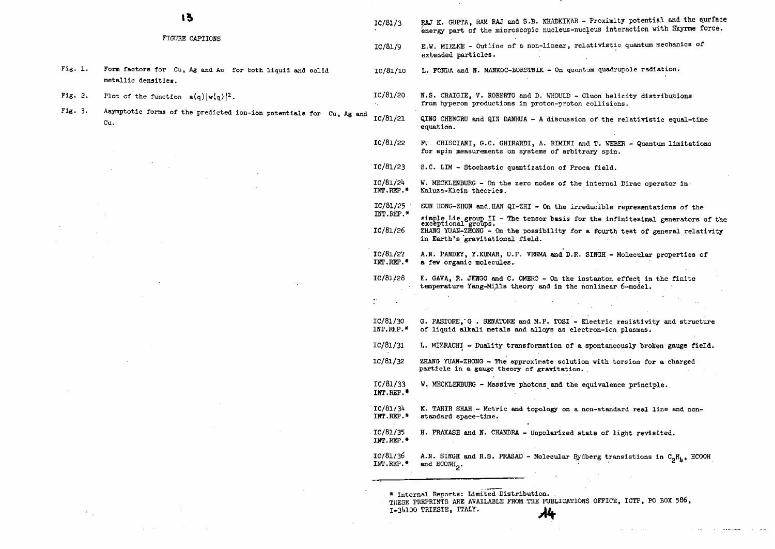|                                         | 13                                                                              | IC/81/3               | RAJ K. GUPTA, RAM RAJ and S.B. KHADKIKAR - Proximity potential and the surface<br>energy part of the microscopic nucleus-nucleus interaction with Skyrme force.                                                        |
|-----------------------------------------|---------------------------------------------------------------------------------|-----------------------|------------------------------------------------------------------------------------------------------------------------------------------------------------------------------------------------------------------------|
|                                         | FIGURE CAPTIONS                                                                 | IC/81/9               | E.W. MIELKE - Outline of a non-linear, relativistic quantum mechanics of<br>extended particles.                                                                                                                        |
| Fig. 1.                                 | Form factors for Cu, Ag and Au for both liquid and solid<br>metallic densities. | IC/81/10              | L. FONDA and N. MANKOC-BORSTNIK - On quantum quadrupole radiation.                                                                                                                                                     |
| Fig. 2.                                 | Plot of the function $a(q) w(q) ^2$ .                                           | IC/81/20<br>ras.      | N.S. CRAIGIE, V. ROBERTO and D. WHOULD - Gluon helicity distributions<br>from hyperon productions in proton-proton collisions.                                                                                         |
| Fig. 3.                                 | Asymptotic forms of the predicted ion-ion potentials for Cu, Ag and<br>Cu.      | IC/81/21              | QING CHENGRU and QIN DANHUA $-$ A discussion of the relativistic equal-time<br>equation.                                                                                                                               |
|                                         |                                                                                 | IC/81/22              | FU CRISCIANI, G.C. GHIRARDI, A. RIMINI and T. WEBER - Quantum limitations<br>for spin measurements on systems of arbitrary spin.                                                                                       |
|                                         |                                                                                 | IC/81/23              | S.C. LIM - Stochastic quantization of Proca field.                                                                                                                                                                     |
|                                         |                                                                                 | IC/81/24<br>INT.REP.* | W. MECKLENBURG - On the zero modes of the internal Dirac operator in<br>Kaluza-Klein theories.                                                                                                                         |
|                                         |                                                                                 | IC/81/25              | SUN HONG-ZHON and HAN QI-ZHI - On the irreducible representations of the                                                                                                                                               |
|                                         |                                                                                 | INT.REP.*<br>IC/81/26 | simple Lie group II - The tensor basis for the infinitesimal generators of the exceptional groups.<br>ZHANG YUAN-ZHONG - On the possibility for a fourth test of general relativity<br>in Earth's gravitational field. |
|                                         |                                                                                 | IC/81/27<br>INT.REP.* | A.N. PANDEY, Y.KUMAR, U.P. VERMA and D.R. SINGH - Molecular properties of<br>a few organic molecules.                                                                                                                  |
|                                         |                                                                                 | IC/81/28              | E. GAVA, R. JENGO and C. OMERO - On the instanton effect in the finite<br>temperature Yang-Mills theory and in the nonlinear 6-model.                                                                                  |
|                                         |                                                                                 | ÷.                    |                                                                                                                                                                                                                        |
|                                         |                                                                                 | IC/81/30<br>INT.REP.* | G. PASTORE, G . SENATORE and M.P. TOSI - Electric resistivity and structure<br>of liquid alkali metals and alloys as electron-ion plasmas.                                                                             |
|                                         |                                                                                 | IC/81/31              | L. MIZRACHI - Duality transformation of a spontaneously broken gauge field.                                                                                                                                            |
|                                         |                                                                                 | IC/81/32              | ZHANG YUAN-ZHONG - The approximate solution with torsion for a charged<br>particle in a gauge theory of gravitation.                                                                                                   |
|                                         |                                                                                 | IC/81/33<br>INT.REP.* | W. MECKLENBURG - Massive photons and the equivalence principle.                                                                                                                                                        |
|                                         |                                                                                 | IC/81/34<br>INT.REP.* | K. TAHIR SHAH - Metric and topology on a non-standard real line and non-<br>standard space-time.                                                                                                                       |
|                                         |                                                                                 | IC/81/35<br>INT.REP.* | H. PRAKASH and N. CHANDRA - Unpolarized state of light revisited.                                                                                                                                                      |
|                                         |                                                                                 | IC/81/36<br>INT.REP.* | A.N. SINGH and R.S. PRASAD - Molecular Rydberg transistions in $C_2H_h$ , HCOOH<br>and HCONH <sub>2</sub> .                                                                                                            |
|                                         |                                                                                 |                       |                                                                                                                                                                                                                        |
| $\mathcal{A}_{\mathcal{A},\mathcal{A}}$ |                                                                                 |                       | # Internal Reports: Limited Distribution.<br>THESE PREPRINTS ARE AVAILABLE FROM THE PUBLICATIONS OFFICE, ICTP, PO BOX 586,<br>1-34100 TRIESTE, ITALY.<br><b>H</b>                                                      |

 $\mathcal{L}(\mathcal{A})$  and  $\mathcal{L}(\mathcal{A})$  and  $\mathcal{L}(\mathcal{A})$  and

 $\mathcal{L}_{\mathcal{A}}$  and  $\mathcal{L}_{\mathcal{A}}$  are the set of the set of the set of the set of  $\mathcal{L}_{\mathcal{A}}$ 

 $\sim 100$ 

المصفر والمستشفل والروابع والتراثي المراجع والمتاريخ والمستحدث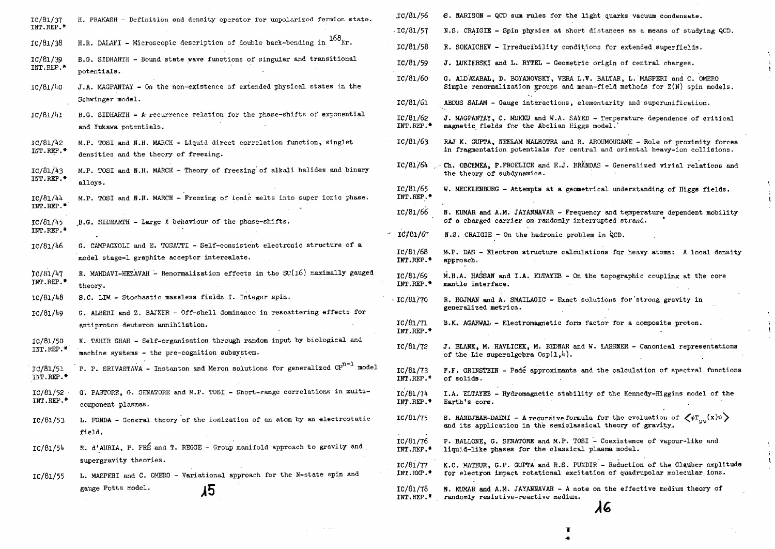|                       |                                                                                                                            |                       | $\lambda$ 6                                                                                                                                                          |    |
|-----------------------|----------------------------------------------------------------------------------------------------------------------------|-----------------------|----------------------------------------------------------------------------------------------------------------------------------------------------------------------|----|
|                       | gauge Potts model.<br>λ5                                                                                                   | IC/81/78<br>INT.REP.* | N. KUMAR and A.M. JAYANNAVAR - A note on the effective medium theory of<br>randomly resistive-reactive medium.                                                       |    |
| IC/81/55              | supergravity theories.<br>L. MASPERI and C. OMERO - Variational approach for the N-state spin and                          | IC/81/77<br>INT.REP.* | K.C. MATHUR, G.P. GUPTA and R.S. PUNDIR - Reduction of the Glauber amplitude<br>for electron impact rotational excitation of quadrupolar molecular ions.             | A. |
| IC/81/54              | R. d'AURIA, P. FRÉ and T. REGGE - Group manifold approach to gravity and                                                   | IC/81/76<br>INT.REP.* | P. BALLONE, G. SENATORE and M.P. TOSI - Coexistence of vapour-like and<br>liquid-like phases for the classical plasma model.                                         | п. |
| IC/81/53              | L. FONDA - General theory of the ionization of an atom by an electrostatic<br>field.                                       | IC/81/75              | S. RANDJBAR-DAEMI - A recursive formula for the evaluation of $\langle \Psi_{\dots}^T(x)\psi \rangle$<br>and its application in the semiclassical theory of gravity. |    |
| IC/81/52<br>INT.REP.* | G. PASTORE, G. SENATORE and M.P. TOSI - Short-range correlations in multi-<br>component plasmas.                           | IC/BL/74<br>INT.REP.* | I.A. ELTAYEB - Hydromagnetic stability of the Kennedy-Higgins model of the<br>Earth's core.                                                                          |    |
| IC/81/51<br>INT.REP.* | P. P. SRIVASTAVA - Instanton and Meron solutions for generalized CP <sup>n-1</sup> model                                   | IC/81/73<br>INT.REP.* | F.F. GRINSTEIN - Pade approximants and the calculation of spectral functions<br>of solids.                                                                           |    |
| IC/81/50<br>INT.REP.* | K. TAHIR SHAH - Self-organisation through random input by biological and<br>machine systems - the pre-cognition subsystem. | IC/81/72              | J. BLANK, M. HAVLICEK, M. BEDNAR and W. LASSNER - Canonical representations<br>of the Lie superalgebra $Osp(1, 4)$ .                                                 |    |
|                       | antiproton deuteron annihilation.                                                                                          | IC/81/71<br>INT.REP.* | B.K. AGARWAL - Electromagnetic form factor for a composite proton.                                                                                                   |    |
| IC/81/49              | G. ALBERI and Z. BAJZER - Off-shell dominance in rescattering effects for                                                  |                       | generalized metrics.                                                                                                                                                 |    |
| IC/81/48              | theory.<br>S.C. LIM - Stochastic massless fields I. Integer spin.                                                          | - IC/81/70            | R. HOJMAN and A. SMAILAGIC - Exact solutions for strong gravity in                                                                                                   |    |
| IC/81/47<br>INT.REP.  | E. MAHDAVI-HEZAVAH - Renormalization effects in the SU(16) maximally gauged                                                | IC/81/69<br>INT REP.* | M.H.A. HASSAN and I.A. ELTAYEB - On the topographic coupling at the core<br>mantle interface.                                                                        |    |
| IC/81/46              | G. CAMPAGNOLI and E. TOSATTI - Self-consistent electronic structure of a<br>model stage-1 graphite acceptor intercalate.   | IC/B1/68<br>INT.REP.* | M.P. DAS - Electron structure calculations for heavy atoms: A local density<br>approach.                                                                             |    |
| INT.REP.*             |                                                                                                                            | IC/81/67              | N.S. CRAIGIE - On the hadronic problem in QCD.                                                                                                                       |    |
| INT.REP."<br>IC/81/45 | B.G. SIDHARTH - Large & behaviour of the phase-shifts.                                                                     | IC/81/66              | N. KUMAR and A.M. JAYANNAVAR - Frequency and temperature dependent mobility<br>of a charged carrier on randomly interrupted strand.                                  |    |
| IC/81/44              | alloys.<br>M.P. TOSI and N.H. MARCH - Freezing of ionic melts into super ionic phase.                                      | IC/81/65<br>INT.REP.* | W. MECKLENBURG - Attempts at a geometrical understanding of Higgs fields.                                                                                            |    |
| IC/81/43<br>INT.REP.* | M.P. TOSI and N.H. MARCH - Theory of freezing of alkali halides and binary                                                 | IC/81/64              | Ch. OBCEMEA, P.FROELICH and E.J. BRANDAS - Generalized virial relations and<br>the theory of subdynamics.                                                            |    |
| 1C/81/12<br>INT.REP.* | M.P. TOSI and N.H. MARCH - Liquid direct correlation function, singlet<br>densities and the theory of freezing.            | IC/81/63              | RAJ K. GUPTA, NEELAM MALHOTRA and R. AROUMOUGAME - Role of proximity forces<br>in fragmentation potentials for central and oriental heavy-ion collisions.            |    |
| IC/81/41              | B.G. SIDHARTH - A recurrence relation for the phase-shifts of exponential<br>and Yukawa potentials.                        | IC/81/62<br>INT. REP. | J. MAGPANTAY, C. MUKKU and W.A. SAYED - Temperature dependence of critical<br>magnetic fields for the Abelian Higgs model.                                           |    |
|                       | Schwinger model.                                                                                                           | IC/81/61              | ABDUS SALAM - Gauge interactions, elementarity and superunification.                                                                                                 |    |
| IC/81/40              | J.A. MAGPANTAY - On the non-existence of extended physical states in the                                                   | IC/81/60              | G. ALDAZABAL, D. BOYANOVSKY, VERA L.V. BALTAR, L. MASPERI and C. OMERO<br>Simple renormalization groups and mean-field methods for $Z(N)$ spin models.               |    |
| IC/81/39<br>INT.REP.* | B.G. SIDHARTH - Bound state wave functions of singular and transitional<br>potentials.                                     | IC/81/59              | J. LUKIERSKI and L. RYTEL - Geometric origin of central charges.                                                                                                     |    |
| IC/81/38              | H.R. DALAFI - Microscopic description of double back-bending in $^{168}$ Er.                                               | IC/81/58              | E. SOKATCHEV - Irreducibility conditions for extended superfields.                                                                                                   |    |
| INT.REP.*             |                                                                                                                            | .IC/81/57             | N.S. CRAIGIE - Spin physics at short distances as a means of studying QCD.                                                                                           |    |
| IC/81/37              | H. PRAKASH - Definition and density operator for unpolarized fermion state.                                                | JC/81/56              | 6. NARISON - QCD sum rules for the light quarks vacuum condensate.                                                                                                   |    |

 $\mathcal{L}_{\text{max}}$  , and  $\mathcal{L}_{\text{max}}$ 

 $\begin{array}{c} \overline{\textbf{a}} \\ \overline{\textbf{w}} \end{array}$ 

 $\sim 10$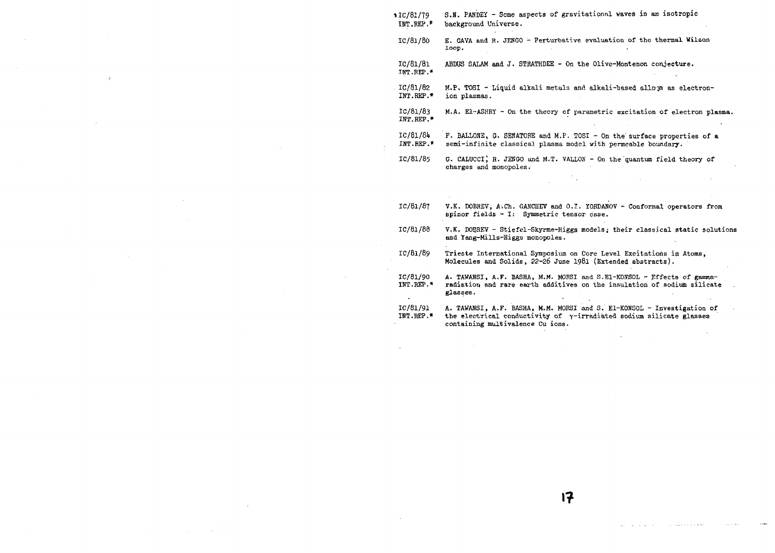| 1IC/81/79<br>INT REP.* | S.N. PANDEY - Some aspects of gravitational waves in an isotropic<br>background Universe.                                                                                                 |
|------------------------|-------------------------------------------------------------------------------------------------------------------------------------------------------------------------------------------|
| IC/81/80               | E. GAVA and R. JENGO - Perturbative evaluation of the thermal Wilson<br>loop.                                                                                                             |
| IC/81/81<br>INT.REP.*  | ABDUS SALAM and J. STRATHDEE - On the Olive-Montenon conjecture.                                                                                                                          |
| IC/81/82<br>INT.REP.*  | M.P. TOSI - Liquid alkali metals and alkali-based alloys as electron-<br>ion plasmas.                                                                                                     |
| IC/81/83<br>INT REP.*  | M.A. El-ASHRY - On the theory of parametric excitation of electron plasma.                                                                                                                |
| IC/81/84<br>INT.REP.*  | P. BALLONE, G. SENATORE and M.P. TOSI - On the surface properties of a<br>semi-infinite classical plasma model with permeable boundary.                                                   |
| IC/81/85               | G. CALUCCI, R. JENGO and M.T. VALLON - On the quantum field theory of<br>charges and monopoles.                                                                                           |
|                        |                                                                                                                                                                                           |
| IC/B1/87               | V.K. DOBREV, A.Ch. GANCHEV and O.I. YORDANOV - Conformal operators from<br>spinor fields - I: Symmetric tensor case.                                                                      |
| IC/81/88               | V.K. DOBREV - Stiefel-Skyrme-Higgs models, their classical static solutions<br>and Yang-Mills-Higgs monopoles.                                                                            |
| IC/81/89               | Trieste International Symposium on Core Level Excitations in Atoms.<br>Molecules and Solids, 22-26 June 1981 (Extended abstracts).                                                        |
|                        |                                                                                                                                                                                           |
| IC/81/90<br>INT.REP.*  | A. TAWANSI, A.F. BASHA, M.M. MORSI and S.El-KONSOL - Effects of gamma-<br>radiation and rare earth additives on the insulation of sodium silicate<br>glasses.                             |
| IC/81/91<br>INT.REP.*  | A. TAWANSI, A.F. BASHA, M.M. MORSI and S. El-KONSOL - Investigation of<br>the electrical conductivity of $\gamma$ -irradiated sodium silicate glasses<br>containing multivalence Cu ions. |

 $17 -$ 

 $\sim 1.1\pm 1.1$ 

**Sales Contractor** 

 $\mathcal{L}(\mathcal{L}(\mathcal{L}))$  and  $\mathcal{L}(\mathcal{L}(\mathcal{L}))$  and  $\mathcal{L}(\mathcal{L}(\mathcal{L}))$  . The contribution of  $\mathcal{L}(\mathcal{L})$ 

 $\mathcal{L}^{\mathcal{L}}(\mathcal{L}^{\mathcal{L}}(\mathcal{L}^{\mathcal{L}}(\mathcal{L}^{\mathcal{L}}(\mathcal{L}^{\mathcal{L}}(\mathcal{L}^{\mathcal{L}}(\mathcal{L}^{\mathcal{L}}(\mathcal{L}^{\mathcal{L}}(\mathcal{L}^{\mathcal{L}}(\mathcal{L}^{\mathcal{L}}(\mathcal{L}^{\mathcal{L}}(\mathcal{L}^{\mathcal{L}}(\mathcal{L}^{\mathcal{L}}(\mathcal{L}^{\mathcal{L}}(\mathcal{L}^{\mathcal{L}}(\mathcal{L}^{\mathcal{L}}(\mathcal{L}^{\mathcal{L$ 

 $\label{eq:2} \mathcal{L} = \mathcal{L} \left( \mathcal{L} \right) \left( \mathcal{L} \right) \left( \mathcal{L} \right) \left( \mathcal{L} \right)$ 

 $\mathcal{L}(\mathcal{L}(\mathcal{L}))$  and  $\mathcal{L}(\mathcal{L}(\mathcal{L}))$  . The contribution of  $\mathcal{L}(\mathcal{L})$ 

 $\mathcal{L}(\mathcal{L}(\mathcal{L}))$  and  $\mathcal{L}(\mathcal{L}(\mathcal{L}))$  . The contribution of  $\mathcal{L}(\mathcal{L})$ 

 $\label{eq:2.1} \mathcal{L}(\mathcal{L}^{\text{max}}_{\mathcal{L}}(\mathcal{L}^{\text{max}}_{\mathcal{L}}(\mathcal{L}^{\text{max}}_{\mathcal{L}}(\mathcal{L}^{\text{max}}_{\mathcal{L}^{\text{max}}_{\mathcal{L}}(\mathcal{L}^{\text{max}}_{\mathcal{L}^{\text{max}}_{\mathcal{L}^{\text{max}}_{\mathcal{L}^{\text{max}}_{\mathcal{L}^{\text{max}}_{\mathcal{L}^{\text{max}}_{\mathcal{L}^{\text{max}}_{\mathcal{L}^{\text{max}}_{\mathcal{L}^{\text{max}}$ 

 $\mathcal{L}^{\mathcal{L}}$  and  $\mathcal{L}^{\mathcal{L}}$  are the set of the set of the set of the set of the  $\mathcal{L}^{\mathcal{L}}$